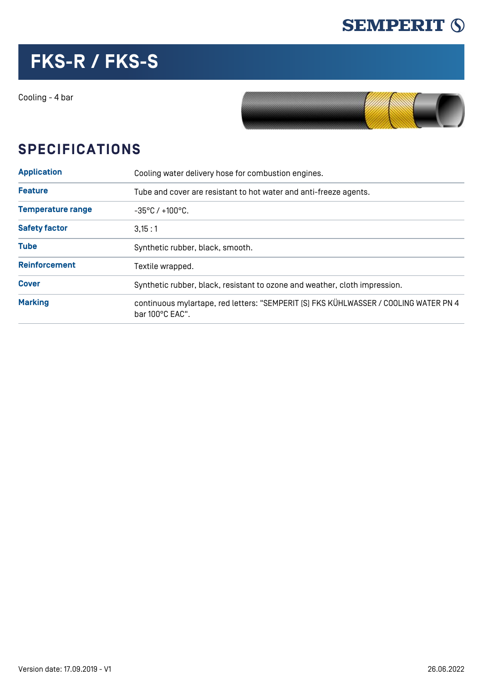

## **FKS-R / FKS-S**

Cooling - 4 bar



## **SPECIFICATIONS**

| <b>Application</b>       | Cooling water delivery hose for combustion engines.<br>Tube and cover are resistant to hot water and anti-freeze agents. |  |  |  |  |
|--------------------------|--------------------------------------------------------------------------------------------------------------------------|--|--|--|--|
| <b>Feature</b>           |                                                                                                                          |  |  |  |  |
| <b>Temperature range</b> | $-35^{\circ}$ C / $+100^{\circ}$ C.                                                                                      |  |  |  |  |
| <b>Safety factor</b>     | 3.15:1                                                                                                                   |  |  |  |  |
| <b>Tube</b>              | Synthetic rubber, black, smooth.                                                                                         |  |  |  |  |
| <b>Reinforcement</b>     | Textile wrapped.                                                                                                         |  |  |  |  |
| <b>Cover</b>             | Synthetic rubber, black, resistant to ozone and weather, cloth impression.                                               |  |  |  |  |
| <b>Marking</b>           | continuous mylartape, red letters: "SEMPERIT [S] FKS KÜHLWASSER / COOLING WATER PN 4<br>bar $100^{\circ}$ C EAC".        |  |  |  |  |